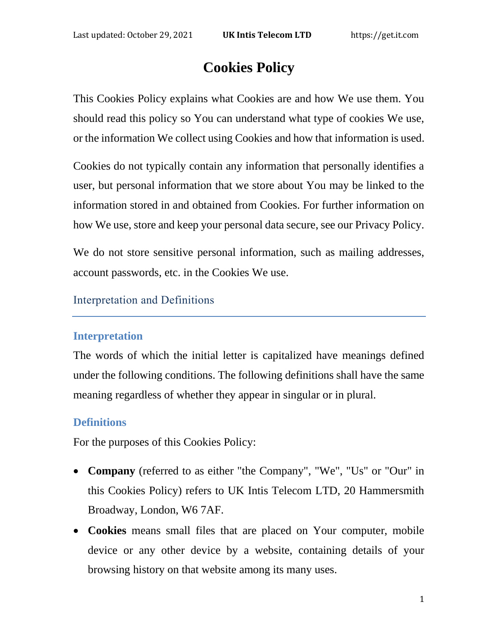# **Cookies Policy**

This Cookies Policy explains what Cookies are and how We use them. You should read this policy so You can understand what type of cookies We use, or the information We collect using Cookies and how that information is used.

Cookies do not typically contain any information that personally identifies a user, but personal information that we store about You may be linked to the information stored in and obtained from Cookies. For further information on how We use, store and keep your personal data secure, see our Privacy Policy.

We do not store sensitive personal information, such as mailing addresses, account passwords, etc. in the Cookies We use.

Interpretation and Definitions

## **Interpretation**

The words of which the initial letter is capitalized have meanings defined under the following conditions. The following definitions shall have the same meaning regardless of whether they appear in singular or in plural.

## **Definitions**

For the purposes of this Cookies Policy:

- **Company** (referred to as either "the Company", "We", "Us" or "Our" in this Cookies Policy) refers to UK Intis Telecom LTD, 20 Hammersmith Broadway, London, W6 7AF.
- **Cookies** means small files that are placed on Your computer, mobile device or any other device by a website, containing details of your browsing history on that website among its many uses.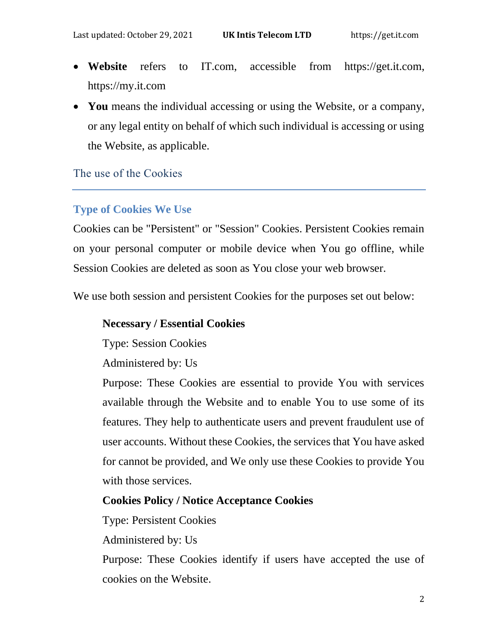- **Website** refers to IT.com, accessible from [https://get.it.com,](https://get.it.com/) https://my.it.com
- **You** means the individual accessing or using the Website, or a company, or any legal entity on behalf of which such individual is accessing or using the Website, as applicable.

The use of the Cookies

## **Type of Cookies We Use**

Cookies can be "Persistent" or "Session" Cookies. Persistent Cookies remain on your personal computer or mobile device when You go offline, while Session Cookies are deleted as soon as You close your web browser.

We use both session and persistent Cookies for the purposes set out below:

#### **Necessary / Essential Cookies**

Type: Session Cookies

Administered by: Us

Purpose: These Cookies are essential to provide You with services available through the Website and to enable You to use some of its features. They help to authenticate users and prevent fraudulent use of user accounts. Without these Cookies, the services that You have asked for cannot be provided, and We only use these Cookies to provide You with those services.

## **Cookies Policy / Notice Acceptance Cookies**

Type: Persistent Cookies

Administered by: Us

Purpose: These Cookies identify if users have accepted the use of cookies on the Website.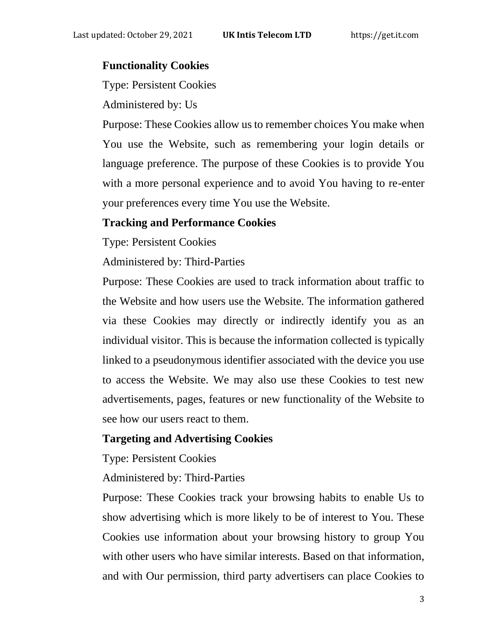## **Functionality Cookies**

Type: Persistent Cookies

Administered by: Us

Purpose: These Cookies allow us to remember choices You make when You use the Website, such as remembering your login details or language preference. The purpose of these Cookies is to provide You with a more personal experience and to avoid You having to re-enter your preferences every time You use the Website.

#### **Tracking and Performance Cookies**

Type: Persistent Cookies

Administered by: Third-Parties

Purpose: These Cookies are used to track information about traffic to the Website and how users use the Website. The information gathered via these Cookies may directly or indirectly identify you as an individual visitor. This is because the information collected is typically linked to a pseudonymous identifier associated with the device you use to access the Website. We may also use these Cookies to test new advertisements, pages, features or new functionality of the Website to see how our users react to them.

#### **Targeting and Advertising Cookies**

Type: Persistent Cookies

Administered by: Third-Parties

Purpose: These Cookies track your browsing habits to enable Us to show advertising which is more likely to be of interest to You. These Cookies use information about your browsing history to group You with other users who have similar interests. Based on that information, and with Our permission, third party advertisers can place Cookies to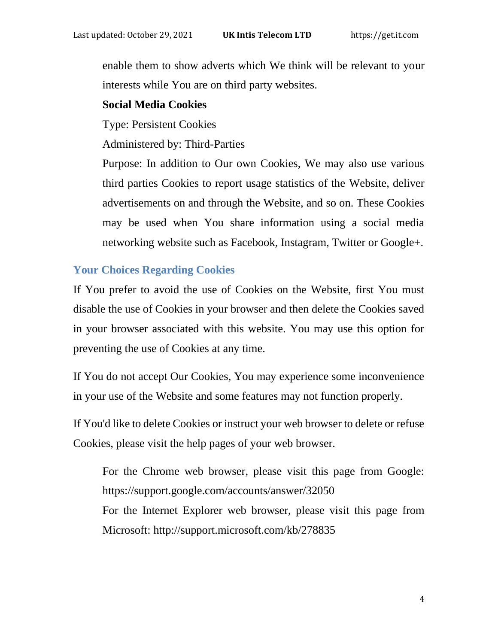enable them to show adverts which We think will be relevant to your interests while You are on third party websites.

## **Social Media Cookies**

Type: Persistent Cookies

Administered by: Third-Parties

Purpose: In addition to Our own Cookies, We may also use various third parties Cookies to report usage statistics of the Website, deliver advertisements on and through the Website, and so on. These Cookies may be used when You share information using a social media networking website such as Facebook, Instagram, Twitter or Google+.

# **Your Choices Regarding Cookies**

If You prefer to avoid the use of Cookies on the Website, first You must disable the use of Cookies in your browser and then delete the Cookies saved in your browser associated with this website. You may use this option for preventing the use of Cookies at any time.

If You do not accept Our Cookies, You may experience some inconvenience in your use of the Website and some features may not function properly.

If You'd like to delete Cookies or instruct your web browser to delete or refuse Cookies, please visit the help pages of your web browser.

For the Chrome web browser, please visit this page from Google: <https://support.google.com/accounts/answer/32050> For the Internet Explorer web browser, please visit this page from Microsoft:<http://support.microsoft.com/kb/278835>